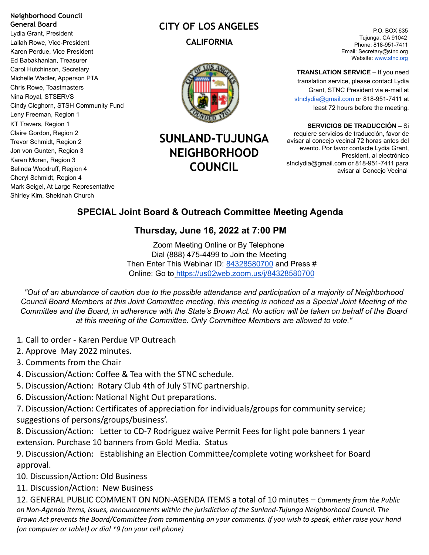#### **Neighborhood Council General Board**

Lydia Grant, President Lallah Rowe, Vice-President Karen Perdue, Vice President Ed Babakhanian, Treasurer Carol Hutchinson, Secretary Michelle Wadler, Apperson PTA Chris Rowe, Toastmasters Nina Royal, STSERVS Cindy Cleghorn, STSH Community Fund Leny Freeman, Region 1 KT Travers, Region 1 Claire Gordon, Region 2 Trevor Schmidt, Region 2 Jon von Gunten, Region 3 Karen Moran, Region 3 Belinda Woodruff, Region 4 Cheryl Schmidt, Region 4 Mark Seigel, At Large Representative Shirley Kim, Shekinah Church

# **CITY OF LOS ANGELES CALIFORNIA**



# **SUNLAND-TUJUNGA NEIGHBORHOOD COUNCIL**

P.O. BOX 635 Tujunga, CA 91042 Phone: 818-951-7411 Email: Secretary@stnc.org Website: www.stnc.org

**TRANSLATION SERVICE** – If you need translation service, please contact Lydia Grant, STNC President via e-mail at stnclydia@gmail.com or 818-951-7411 at least 72 hours before the meeting.

**SERVICIOS DE TRADUCCIÓN** – Si requiere servicios de traducción, favor de avisar al concejo vecinal 72 horas antes del evento. Por favor contacte Lydia Grant, President, al electrónico stnclydia@gmail.com or 818-951-7411 para avisar al Concejo Vecinal

## **SPECIAL Joint Board & Outreach Committee Meeting Agenda**

### **Thursday, June 16, 2022 at 7:00 PM**

Zoom Meeting Online or By Telephone Dial (888) 475-4499 to Join the Meeting Then Enter This Webinar ID: 84328580700 and Press # Online: Go to <https://us02web.zoom.us/j/84328580700>

"Out of an abundance of caution due to the possible attendance and participation of a majority of Neighborhood Council Board Members at this Joint Committee meeting, this meeting is noticed as a Special Joint Meeting of the Committee and the Board, in adherence with the State's Brown Act. No action will be taken on behalf of the Board *at this meeting of the Committee. Only Committee Members are allowed to vote."*

- 1*.* Call to order Karen Perdue VP Outreach
- 2. Approve May 2022 minutes.
- 3. Comments from the Chair
- 4. Discussion/Action: Coffee & Tea with the STNC schedule.
- 5. Discussion/Action: Rotary Club 4th of July STNC partnership.
- 6. Discussion/Action: National Night Out preparations.

7. Discussion/Action: Certificates of appreciation for individuals/groups for community service; suggestions of persons/groups/business'.

8. Discussion/Action: Letter to CD-7 Rodriguez waive Permit Fees for light pole banners 1 year extension. Purchase 10 banners from Gold Media. Status

9. Discussion/Action: Establishing an Election Committee/complete voting worksheet for Board approval.

10. Discussion/Action: Old Business

11. Discussion/Action: New Business

12. GENERAL PUBLIC COMMENT ON NON-AGENDA ITEMS a total of 10 minutes – *Comments from the Public on Non-Agenda items, issues, announcements within the jurisdiction of the Sunland-Tujunga Neighborhood Council. The* Brown Act prevents the Board/Committee from commenting on your comments. If you wish to speak, either raise your hand *(on computer or tablet) or dial \*9 (on your cell phone)*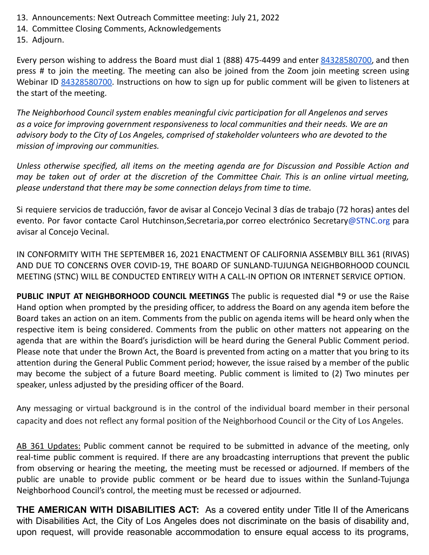- 13. Announcements: Next Outreach Committee meeting: July 21, 2022
- 14. Committee Closing Comments, Acknowledgements

15. Adjourn.

Every person wishing to address the Board must dial 1 (888) 475-4499 and enter 84328580700, and then press # to join the meeting. The meeting can also be joined from the Zoom join meeting screen using Webinar ID 84328580700. Instructions on how to sign up for public comment will be given to listeners at the start of the meeting.

*The Neighborhood Council system enables meaningful civic participation for all Angelenos and serves as a voice for improving government responsiveness to local communities and their needs. We are an advisory body to the City of Los Angeles, comprised of stakeholder volunteers who are devoted to the mission of improving our communities.*

*Unless otherwise specified, all items on the meeting agenda are for Discussion and Possible Action and* may be taken out of order at the discretion of the Committee Chair. This is an online virtual meeting, *please understand that there may be some connection delays from time to time.*

Si requiere servicios de traducción, favor de avisar al Concejo Vecinal 3 días de trabajo (72 horas) antes del evento. Por favor contacte Carol Hutchinson, Secretaria, por correo electrónico Secretary@STNC.org para avisar al Concejo Vecinal.

IN CONFORMITY WITH THE SEPTEMBER 16, 2021 ENACTMENT OF CALIFORNIA ASSEMBLY BILL 361 (RIVAS) AND DUE TO CONCERNS OVER COVID-19, THE BOARD OF SUNLAND-TUJUNGA NEIGHBORHOOD COUNCIL MEETING (STNC) WILL BE CONDUCTED ENTIRELY WITH A CALL-IN OPTION OR INTERNET SERVICE OPTION.

**PUBLIC INPUT AT NEIGHBORHOOD COUNCIL MEETINGS** The public is requested dial \*9 or use the Raise Hand option when prompted by the presiding officer, to address the Board on any agenda item before the Board takes an action on an item. Comments from the public on agenda items will be heard only when the respective item is being considered. Comments from the public on other matters not appearing on the agenda that are within the Board's jurisdiction will be heard during the General Public Comment period. Please note that under the Brown Act, the Board is prevented from acting on a matter that you bring to its attention during the General Public Comment period; however, the issue raised by a member of the public may become the subject of a future Board meeting. Public comment is limited to (2) Two minutes per speaker, unless adjusted by the presiding officer of the Board.

Any messaging or virtual background is in the control of the individual board member in their personal capacity and does not reflect any formal position of the Neighborhood Council or the City of Los Angeles.

AB 361 Updates: Public comment cannot be required to be submitted in advance of the meeting, only real-time public comment is required. If there are any broadcasting interruptions that prevent the public from observing or hearing the meeting, the meeting must be recessed or adjourned. If members of the public are unable to provide public comment or be heard due to issues within the Sunland-Tujunga Neighborhood Council's control, the meeting must be recessed or adjourned.

**THE AMERICAN WITH DISABILITIES ACT:** As a covered entity under Title II of the Americans with Disabilities Act, the City of Los Angeles does not discriminate on the basis of disability and, upon request, will provide reasonable accommodation to ensure equal access to its programs,